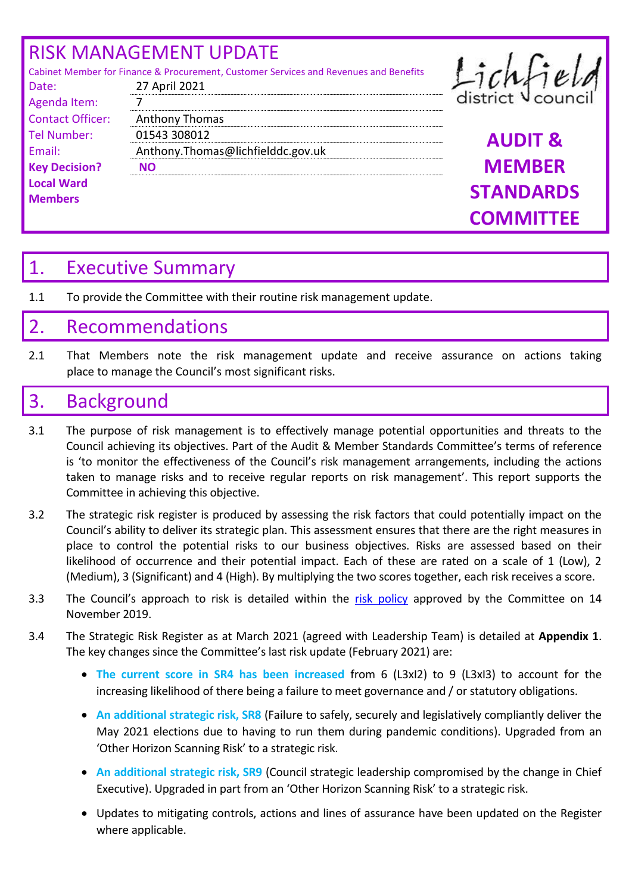# RISK MANAGEMENT UPDATE

Date: 27 April 2021

Contact Officer: Anthony Thomas

Agenda Item: 7

**Key Decision? NO** 

**Local Ward Members**

Cabinet Member for Finance & Procurement, Customer Services and Revenues and Benefits

# Lichfield

Tel Number: 01543 308012 **AUDIT &**  Email: Anthony.Thomas@lichfielddc.gov.uk **MEMBER STANDARDS COMMITTEE** 

# 1. Executive Summary

1.1 To provide the Committee with their routine risk management update.

# 2. Recommendations

2.1 That Members note the risk management update and receive assurance on actions taking place to manage the Council's most significant risks.

# 3. Background

- 3.1 The purpose of risk management is to effectively manage potential opportunities and threats to the Council achieving its objectives. Part of the Audit & Member Standards Committee's terms of reference is 'to monitor the effectiveness of the Council's risk management arrangements, including the actions taken to manage risks and to receive regular reports on risk management'. This report supports the Committee in achieving this objective.
- 3.2 The strategic risk register is produced by assessing the risk factors that could potentially impact on the Council's ability to deliver its strategic plan. This assessment ensures that there are the right measures in place to control the potential risks to our business objectives. Risks are assessed based on their likelihood of occurrence and their potential impact. Each of these are rated on a scale of 1 (Low), 2 (Medium), 3 (Significant) and 4 (High). By multiplying the two scores together, each risk receives a score.
- 3.3 The Council's approach to risk is detailed within the [risk policy](https://lichfielddc.sharepoint.com/sites/AuditFraud/Audit%20%20fraud%20document%20library/Risk%20Management%20Policy.pdf?cid=7363e0f8-deac-4190-9351-000a37eb39a7) approved by the Committee on 14 November 2019.
- 3.4 The Strategic Risk Register as at March 2021 (agreed with Leadership Team) is detailed at **Appendix 1**. The key changes since the Committee's last risk update (February 2021) are:
	- **The current score in SR4 has been increased** from 6 (L3xI2) to 9 (L3xI3) to account for the increasing likelihood of there being a failure to meet governance and / or statutory obligations.
	- **An additional strategic risk, SR8** (Failure to safely, securely and legislatively compliantly deliver the May 2021 elections due to having to run them during pandemic conditions). Upgraded from an 'Other Horizon Scanning Risk' to a strategic risk.
	- **An additional strategic risk, SR9** (Council strategic leadership compromised by the change in Chief Executive). Upgraded in part from an 'Other Horizon Scanning Risk' to a strategic risk.
	- Updates to mitigating controls, actions and lines of assurance have been updated on the Register where applicable.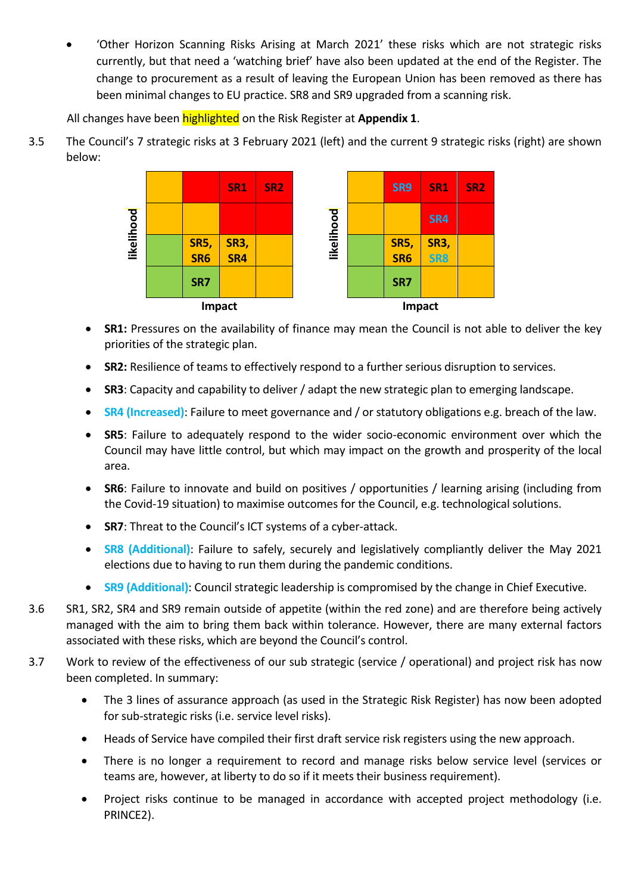'Other Horizon Scanning Risks Arising at March 2021' these risks which are not strategic risks currently, but that need a 'watching brief' have also been updated at the end of the Register. The change to procurement as a result of leaving the European Union has been removed as there has been minimal changes to EU practice. SR8 and SR9 upgraded from a scanning risk.

All changes have been highlighted on the Risk Register at **Appendix 1**.

3.5 The Council's 7 strategic risks at 3 February 2021 (left) and the current 9 strategic risks (right) are shown below:



- **SR1:** Pressures on the availability of finance may mean the Council is not able to deliver the key priorities of the strategic plan.
- **SR2:** Resilience of teams to effectively respond to a further serious disruption to services.
- **SR3**: Capacity and capability to deliver / adapt the new strategic plan to emerging landscape.
- **SR4 (Increased)**: Failure to meet governance and / or statutory obligations e.g. breach of the law.
- **SR5**: Failure to adequately respond to the wider socio-economic environment over which the Council may have little control, but which may impact on the growth and prosperity of the local area.
- **SR6**: Failure to innovate and build on positives / opportunities / learning arising (including from the Covid-19 situation) to maximise outcomes for the Council, e.g. technological solutions.
- **SR7**: Threat to the Council's ICT systems of a cyber-attack.
- **SR8 (Additional)**: Failure to safely, securely and legislatively compliantly deliver the May 2021 elections due to having to run them during the pandemic conditions.
- **SR9 (Additional)**: Council strategic leadership is compromised by the change in Chief Executive.
- 3.6 SR1, SR2, SR4 and SR9 remain outside of appetite (within the red zone) and are therefore being actively managed with the aim to bring them back within tolerance. However, there are many external factors associated with these risks, which are beyond the Council's control.
- 3.7 Work to review of the effectiveness of our sub strategic (service / operational) and project risk has now been completed. In summary:
	- The 3 lines of assurance approach (as used in the Strategic Risk Register) has now been adopted for sub-strategic risks (i.e. service level risks).
	- Heads of Service have compiled their first draft service risk registers using the new approach.
	- There is no longer a requirement to record and manage risks below service level (services or teams are, however, at liberty to do so if it meets their business requirement).
	- Project risks continue to be managed in accordance with accepted project methodology (i.e. PRINCE2).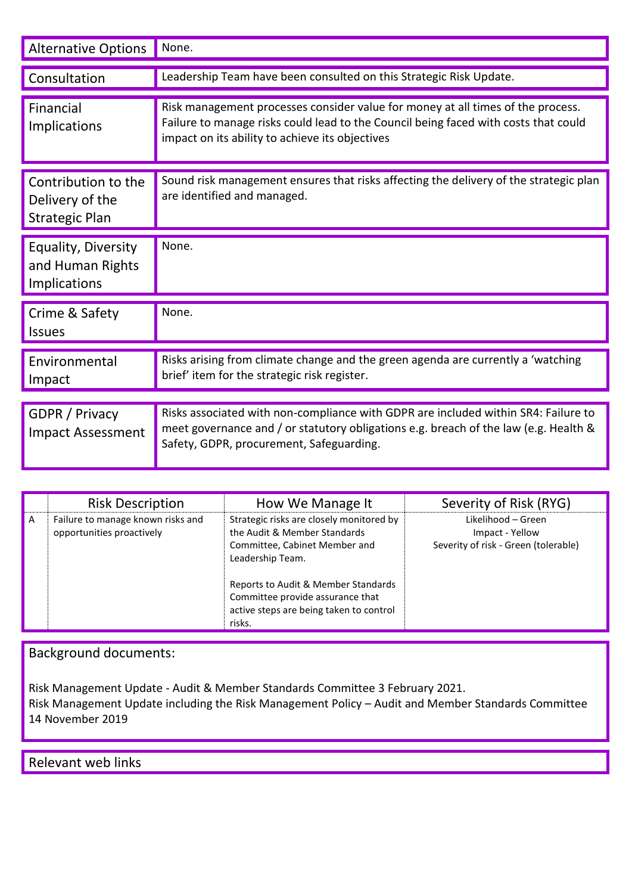| <b>Alternative Options</b>                                      | None.                                                                                                                                                                                                                     |
|-----------------------------------------------------------------|---------------------------------------------------------------------------------------------------------------------------------------------------------------------------------------------------------------------------|
| Consultation                                                    | Leadership Team have been consulted on this Strategic Risk Update.                                                                                                                                                        |
| Financial<br>Implications                                       | Risk management processes consider value for money at all times of the process.<br>Failure to manage risks could lead to the Council being faced with costs that could<br>impact on its ability to achieve its objectives |
| Contribution to the<br>Delivery of the<br><b>Strategic Plan</b> | Sound risk management ensures that risks affecting the delivery of the strategic plan<br>are identified and managed.                                                                                                      |
| Equality, Diversity<br>and Human Rights<br>Implications         | None.                                                                                                                                                                                                                     |
| Crime & Safety<br><b>Issues</b>                                 | None.                                                                                                                                                                                                                     |
| Environmental<br>Impact                                         | Risks arising from climate change and the green agenda are currently a 'watching<br>brief' item for the strategic risk register.                                                                                          |
|                                                                 | Risks associated with non-compliance with GDPR are included within SR4: Failure to                                                                                                                                        |
| GDPR / Privacy<br><b>Impact Assessment</b>                      | meet governance and / or statutory obligations e.g. breach of the law (e.g. Health &<br>Safety, GDPR, procurement, Safeguarding.                                                                                          |

|   | <b>Risk Description</b>                                        | How We Manage It                                                                                                                                                                                                                                              | Severity of Risk (RYG)                                                        |
|---|----------------------------------------------------------------|---------------------------------------------------------------------------------------------------------------------------------------------------------------------------------------------------------------------------------------------------------------|-------------------------------------------------------------------------------|
| A | Failure to manage known risks and<br>opportunities proactively | Strategic risks are closely monitored by<br>the Audit & Member Standards<br>Committee, Cabinet Member and<br>Leadership Team.<br>Reports to Audit & Member Standards<br>Committee provide assurance that<br>active steps are being taken to control<br>risks. | Likelihood - Green<br>Impact - Yellow<br>Severity of risk - Green (tolerable) |

# Background documents:

Risk Management Update - Audit & Member Standards Committee 3 February 2021.

Risk Management Update including the Risk Management Policy – Audit and Member Standards Committee 14 November 2019

Relevant web links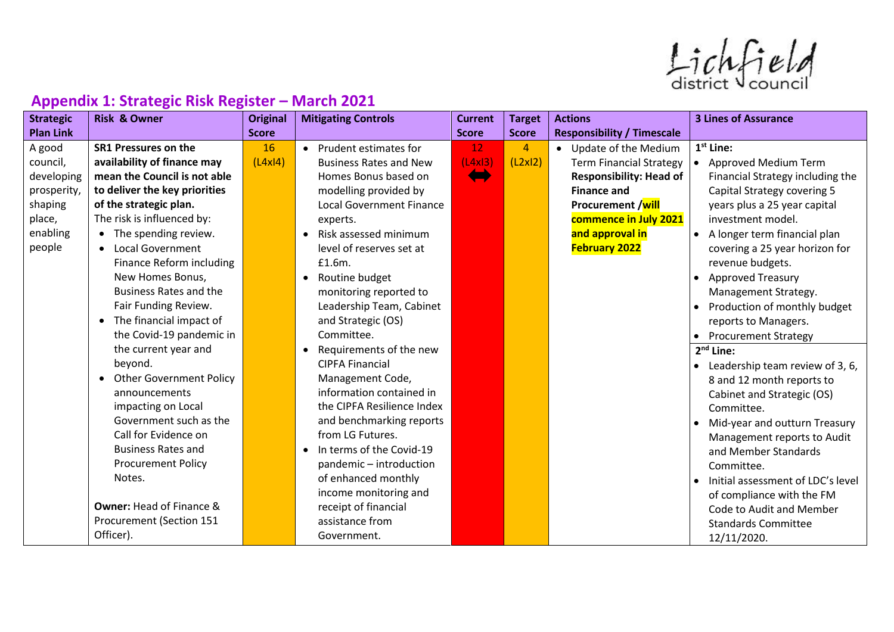$ListV$ 

| <b>Strategic</b> | <b>Risk &amp; Owner</b>              | <b>Original</b> | <b>Mitigating Controls</b>         | <b>Current</b>                | <b>Target</b>  | <b>Actions</b>                    | <b>3 Lines of Assurance</b>                  |
|------------------|--------------------------------------|-----------------|------------------------------------|-------------------------------|----------------|-----------------------------------|----------------------------------------------|
| <b>Plan Link</b> |                                      | <b>Score</b>    |                                    | <b>Score</b>                  | <b>Score</b>   | <b>Responsibility / Timescale</b> |                                              |
| A good           | <b>SR1 Pressures on the</b>          | 16              | • Prudent estimates for            | 12                            | $\overline{4}$ | • Update of the Medium            | $1st$ Line:                                  |
| council,         | availability of finance may          | (L4x 4)         | <b>Business Rates and New</b>      | (L4x13)                       | (L2x12)        | <b>Term Financial Strategy</b>    | <b>Approved Medium Term</b>                  |
| developing       | mean the Council is not able         |                 | Homes Bonus based on               | $\left( \blacksquare \right)$ |                | <b>Responsibility: Head of</b>    | Financial Strategy including the             |
| prosperity,      | to deliver the key priorities        |                 | modelling provided by              |                               |                | <b>Finance and</b>                | <b>Capital Strategy covering 5</b>           |
| shaping          | of the strategic plan.               |                 | <b>Local Government Finance</b>    |                               |                | Procurement /will                 | years plus a 25 year capital                 |
| place,           | The risk is influenced by:           |                 | experts.                           |                               |                | commence in July 2021             | investment model.                            |
| enabling         | • The spending review.               |                 | Risk assessed minimum<br>$\bullet$ |                               |                | and approval in                   | A longer term financial plan                 |
| people           | <b>Local Government</b><br>$\bullet$ |                 | level of reserves set at           |                               |                | <b>February 2022</b>              | covering a 25 year horizon for               |
|                  | Finance Reform including             |                 | £1.6m.                             |                               |                |                                   | revenue budgets.                             |
|                  | New Homes Bonus,                     |                 | Routine budget<br>$\bullet$        |                               |                |                                   | <b>Approved Treasury</b>                     |
|                  | <b>Business Rates and the</b>        |                 | monitoring reported to             |                               |                |                                   | Management Strategy.                         |
|                  | Fair Funding Review.                 |                 | Leadership Team, Cabinet           |                               |                |                                   | Production of monthly budget<br>$\bullet$    |
|                  | The financial impact of              |                 | and Strategic (OS)                 |                               |                |                                   | reports to Managers.                         |
|                  | the Covid-19 pandemic in             |                 | Committee.                         |                               |                |                                   | • Procurement Strategy                       |
|                  | the current year and                 |                 | Requirements of the new            |                               |                |                                   | $2nd$ Line:                                  |
|                  | beyond.                              |                 | <b>CIPFA Financial</b>             |                               |                |                                   | Leadership team review of 3, 6,<br>$\bullet$ |
|                  | <b>Other Government Policy</b>       |                 | Management Code,                   |                               |                |                                   | 8 and 12 month reports to                    |
|                  | announcements                        |                 | information contained in           |                               |                |                                   | Cabinet and Strategic (OS)                   |
|                  | impacting on Local                   |                 | the CIPFA Resilience Index         |                               |                |                                   | Committee.                                   |
|                  | Government such as the               |                 | and benchmarking reports           |                               |                |                                   | Mid-year and outturn Treasury<br>$\bullet$   |
|                  | Call for Evidence on                 |                 | from LG Futures.                   |                               |                |                                   | Management reports to Audit                  |
|                  | <b>Business Rates and</b>            |                 | In terms of the Covid-19           |                               |                |                                   | and Member Standards                         |
|                  | <b>Procurement Policy</b>            |                 | pandemic-introduction              |                               |                |                                   | Committee.                                   |
|                  | Notes.                               |                 | of enhanced monthly                |                               |                |                                   | Initial assessment of LDC's level            |
|                  |                                      |                 | income monitoring and              |                               |                |                                   | of compliance with the FM                    |
|                  | <b>Owner: Head of Finance &amp;</b>  |                 | receipt of financial               |                               |                |                                   | Code to Audit and Member                     |
|                  | Procurement (Section 151             |                 | assistance from                    |                               |                |                                   | <b>Standards Committee</b>                   |
|                  | Officer).                            |                 | Government.                        |                               |                |                                   | 12/11/2020.                                  |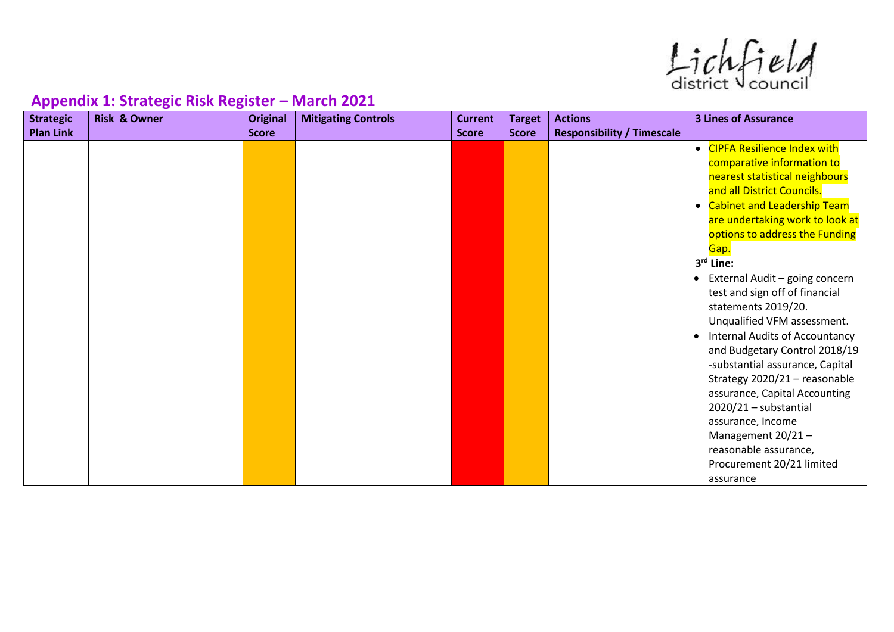$ListV$ 

| . .<br><b>Strategic</b> | <b>Risk &amp; Owner</b> | <b>Original</b> | <b>Mitigating Controls</b> | <b>Current</b> | <b>Target</b> | <b>Actions</b>                    | <b>3 Lines of Assurance</b>                        |
|-------------------------|-------------------------|-----------------|----------------------------|----------------|---------------|-----------------------------------|----------------------------------------------------|
| <b>Plan Link</b>        |                         | <b>Score</b>    |                            | <b>Score</b>   | <b>Score</b>  | <b>Responsibility / Timescale</b> |                                                    |
|                         |                         |                 |                            |                |               |                                   | <b>CIPFA Resilience Index with</b><br>$\bullet$    |
|                         |                         |                 |                            |                |               |                                   | comparative information to                         |
|                         |                         |                 |                            |                |               |                                   | nearest statistical neighbours                     |
|                         |                         |                 |                            |                |               |                                   | and all District Councils.                         |
|                         |                         |                 |                            |                |               |                                   | • Cabinet and Leadership Team                      |
|                         |                         |                 |                            |                |               |                                   | are undertaking work to look at                    |
|                         |                         |                 |                            |                |               |                                   | options to address the Funding                     |
|                         |                         |                 |                            |                |               |                                   | Gap.                                               |
|                         |                         |                 |                            |                |               |                                   | 3rd Line:                                          |
|                         |                         |                 |                            |                |               |                                   | External Audit - going concern<br>$\bullet$        |
|                         |                         |                 |                            |                |               |                                   | test and sign off of financial                     |
|                         |                         |                 |                            |                |               |                                   | statements 2019/20.                                |
|                         |                         |                 |                            |                |               |                                   | Unqualified VFM assessment.                        |
|                         |                         |                 |                            |                |               |                                   | <b>Internal Audits of Accountancy</b><br>$\bullet$ |
|                         |                         |                 |                            |                |               |                                   | and Budgetary Control 2018/19                      |
|                         |                         |                 |                            |                |               |                                   | -substantial assurance, Capital                    |
|                         |                         |                 |                            |                |               |                                   | Strategy 2020/21 - reasonable                      |
|                         |                         |                 |                            |                |               |                                   | assurance, Capital Accounting                      |
|                         |                         |                 |                            |                |               |                                   | 2020/21 - substantial                              |
|                         |                         |                 |                            |                |               |                                   | assurance, Income                                  |
|                         |                         |                 |                            |                |               |                                   | Management $20/21 -$                               |
|                         |                         |                 |                            |                |               |                                   | reasonable assurance,                              |
|                         |                         |                 |                            |                |               |                                   | Procurement 20/21 limited                          |
|                         |                         |                 |                            |                |               |                                   | assurance                                          |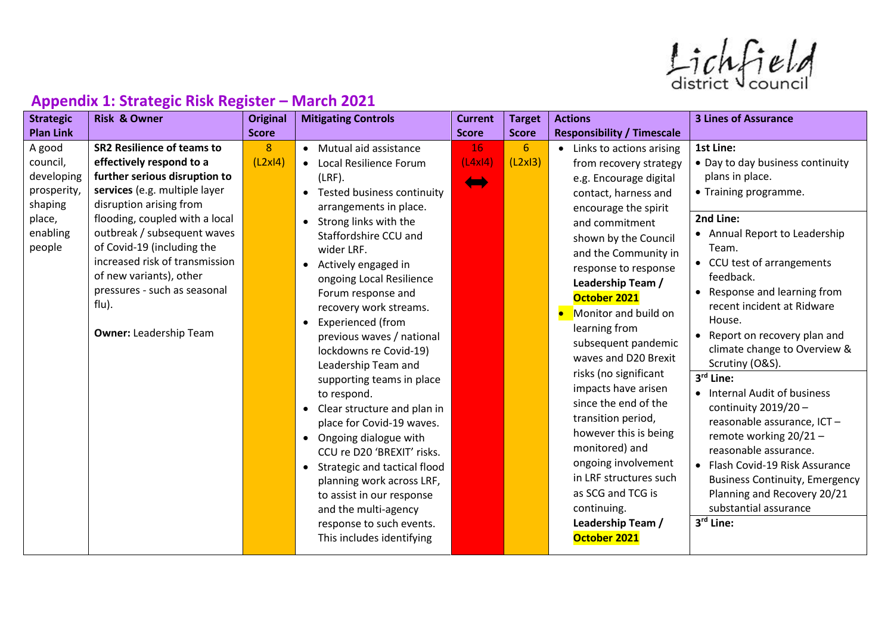$ListV$ 

| <b>Strategic</b>                                                                           | <b>Risk &amp; Owner</b>                                                                                                                                                                                                                                                                                                                                                                          | <b>Original</b> | <b>Mitigating Controls</b>                                                                                                                                                                                                                                                                                                                                                              | <b>Current</b>                       | <b>Target</b> | <b>Actions</b>                                                                                                                                                                                                                                                                                         | <b>3 Lines of Assurance</b>                                                                                                                                                                                                                                                                                                                                                              |
|--------------------------------------------------------------------------------------------|--------------------------------------------------------------------------------------------------------------------------------------------------------------------------------------------------------------------------------------------------------------------------------------------------------------------------------------------------------------------------------------------------|-----------------|-----------------------------------------------------------------------------------------------------------------------------------------------------------------------------------------------------------------------------------------------------------------------------------------------------------------------------------------------------------------------------------------|--------------------------------------|---------------|--------------------------------------------------------------------------------------------------------------------------------------------------------------------------------------------------------------------------------------------------------------------------------------------------------|------------------------------------------------------------------------------------------------------------------------------------------------------------------------------------------------------------------------------------------------------------------------------------------------------------------------------------------------------------------------------------------|
| <b>Plan Link</b>                                                                           |                                                                                                                                                                                                                                                                                                                                                                                                  | <b>Score</b>    |                                                                                                                                                                                                                                                                                                                                                                                         | <b>Score</b>                         | <b>Score</b>  | <b>Responsibility / Timescale</b>                                                                                                                                                                                                                                                                      |                                                                                                                                                                                                                                                                                                                                                                                          |
| A good<br>council,<br>developing<br>prosperity,<br>shaping<br>place,<br>enabling<br>people | <b>SR2 Resilience of teams to</b><br>effectively respond to a<br>further serious disruption to<br>services (e.g. multiple layer<br>disruption arising from<br>flooding, coupled with a local<br>outbreak / subsequent waves<br>of Covid-19 (including the<br>increased risk of transmission<br>of new variants), other<br>pressures - such as seasonal<br>flu).<br><b>Owner: Leadership Team</b> | 8<br>(L2x 4)    | • Mutual aid assistance<br>• Local Resilience Forum<br>$(LRF)$ .<br>• Tested business continuity<br>arrangements in place.<br>Strong links with the<br>$\bullet$<br>Staffordshire CCU and<br>wider LRF.<br>Actively engaged in<br>$\bullet$<br>ongoing Local Resilience<br>Forum response and<br>recovery work streams.<br>Experienced (from<br>$\bullet$                               | <b>16</b><br>(L4x 4)<br><b>Album</b> | 6<br>(L2x13)  | • Links to actions arising<br>from recovery strategy<br>e.g. Encourage digital<br>contact, harness and<br>encourage the spirit<br>and commitment<br>shown by the Council<br>and the Community in<br>response to response<br>Leadership Team /<br>October 2021<br>Monitor and build on<br>learning from | 1st Line:<br>• Day to day business continuity<br>plans in place.<br>• Training programme.<br>2nd Line:<br>• Annual Report to Leadership<br>Team.<br>• CCU test of arrangements<br>feedback.<br>• Response and learning from<br>recent incident at Ridware<br>House.                                                                                                                      |
|                                                                                            |                                                                                                                                                                                                                                                                                                                                                                                                  |                 | previous waves / national<br>lockdowns re Covid-19)<br>Leadership Team and<br>supporting teams in place<br>to respond.<br>Clear structure and plan in<br>$\bullet$<br>place for Covid-19 waves.<br>Ongoing dialogue with<br>$\bullet$<br>CCU re D20 'BREXIT' risks.<br>• Strategic and tactical flood<br>planning work across LRF,<br>to assist in our response<br>and the multi-agency |                                      |               | subsequent pandemic<br>waves and D20 Brexit<br>risks (no significant<br>impacts have arisen<br>since the end of the<br>transition period,<br>however this is being<br>monitored) and<br>ongoing involvement<br>in LRF structures such<br>as SCG and TCG is<br>continuing.<br>Leadership Team /         | • Report on recovery plan and<br>climate change to Overview &<br>Scrutiny (O&S).<br>3rd Line:<br>• Internal Audit of business<br>continuity $2019/20 -$<br>reasonable assurance, ICT-<br>remote working 20/21-<br>reasonable assurance.<br>• Flash Covid-19 Risk Assurance<br><b>Business Continuity, Emergency</b><br>Planning and Recovery 20/21<br>substantial assurance<br>3rd Line: |
|                                                                                            |                                                                                                                                                                                                                                                                                                                                                                                                  |                 | response to such events.<br>This includes identifying                                                                                                                                                                                                                                                                                                                                   |                                      |               |                                                                                                                                                                                                                                                                                                        | October 2021                                                                                                                                                                                                                                                                                                                                                                             |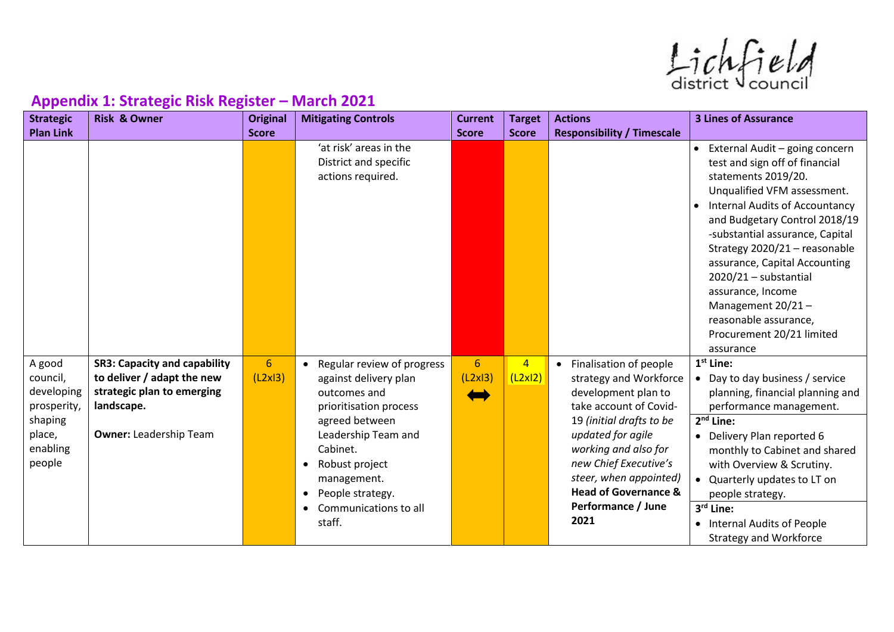$ListV$ 

| <b>Strategic</b>                                                                           | <b>Risk &amp; Owner</b>                                                                                                                        | <b>Original</b>             | <b>Mitigating Controls</b>                                                                                                                                                                                                                                   | <b>Current</b> | <b>Target</b>             | <b>Actions</b>                                                                                                                                                                                                                                                                                      | <b>3 Lines of Assurance</b>                                                                                                                                                                                                                                                                                                                                                                                                                                |
|--------------------------------------------------------------------------------------------|------------------------------------------------------------------------------------------------------------------------------------------------|-----------------------------|--------------------------------------------------------------------------------------------------------------------------------------------------------------------------------------------------------------------------------------------------------------|----------------|---------------------------|-----------------------------------------------------------------------------------------------------------------------------------------------------------------------------------------------------------------------------------------------------------------------------------------------------|------------------------------------------------------------------------------------------------------------------------------------------------------------------------------------------------------------------------------------------------------------------------------------------------------------------------------------------------------------------------------------------------------------------------------------------------------------|
| <b>Plan Link</b>                                                                           |                                                                                                                                                | <b>Score</b>                |                                                                                                                                                                                                                                                              | <b>Score</b>   | <b>Score</b>              | <b>Responsibility / Timescale</b>                                                                                                                                                                                                                                                                   |                                                                                                                                                                                                                                                                                                                                                                                                                                                            |
|                                                                                            |                                                                                                                                                |                             | 'at risk' areas in the<br>District and specific<br>actions required.                                                                                                                                                                                         |                |                           |                                                                                                                                                                                                                                                                                                     | External Audit - going concern<br>$\bullet$<br>test and sign off of financial<br>statements 2019/20.<br>Unqualified VFM assessment.<br><b>Internal Audits of Accountancy</b><br>and Budgetary Control 2018/19<br>-substantial assurance, Capital<br>Strategy 2020/21 - reasonable<br>assurance, Capital Accounting<br>$2020/21 -$ substantial<br>assurance, Income<br>Management 20/21-<br>reasonable assurance,<br>Procurement 20/21 limited<br>assurance |
| A good<br>council,<br>developing<br>prosperity,<br>shaping<br>place,<br>enabling<br>people | <b>SR3: Capacity and capability</b><br>to deliver / adapt the new<br>strategic plan to emerging<br>landscape.<br><b>Owner: Leadership Team</b> | $6 \overline{6}$<br>(L2x13) | • Regular review of progress<br>against delivery plan<br>outcomes and<br>prioritisation process<br>agreed between<br>Leadership Team and<br>Cabinet.<br>Robust project<br>$\bullet$<br>management.<br>People strategy.<br>$\bullet$<br>Communications to all | 6<br>(L2x13)   | $\overline{4}$<br>(L2x12) | Finalisation of people<br>$\bullet$<br>strategy and Workforce<br>development plan to<br>take account of Covid-<br>19 (initial drafts to be<br>updated for agile<br>working and also for<br>new Chief Executive's<br>steer, when appointed)<br><b>Head of Governance &amp;</b><br>Performance / June | $1st$ Line:<br>• Day to day business / service<br>planning, financial planning and<br>performance management.<br>$2nd$ Line:<br>• Delivery Plan reported 6<br>monthly to Cabinet and shared<br>with Overview & Scrutiny.<br>Quarterly updates to LT on<br>people strategy.<br>3rd Line:                                                                                                                                                                    |
|                                                                                            |                                                                                                                                                |                             | staff.                                                                                                                                                                                                                                                       |                |                           | 2021                                                                                                                                                                                                                                                                                                | • Internal Audits of People<br><b>Strategy and Workforce</b>                                                                                                                                                                                                                                                                                                                                                                                               |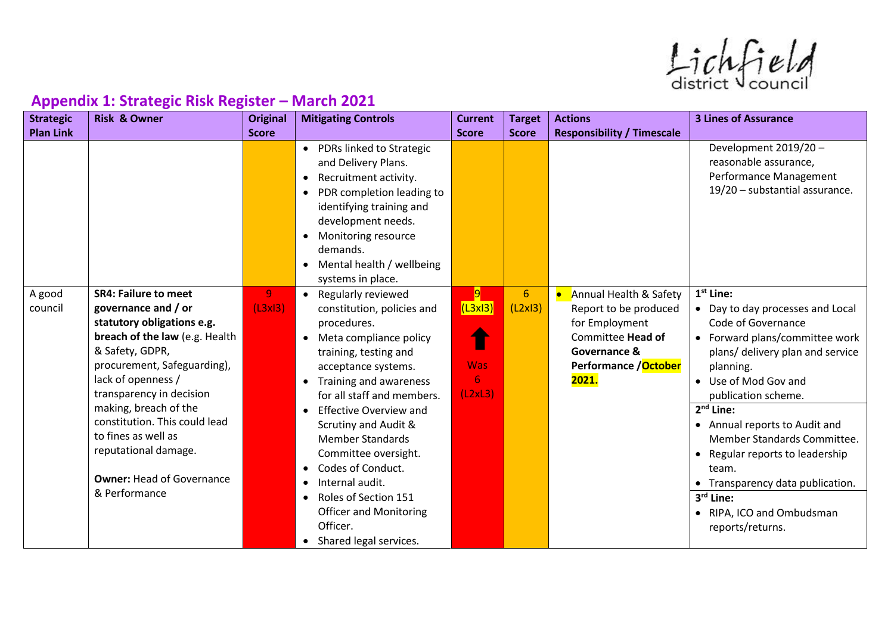$ListV$ 

| <b>Strategic</b> | <b>Risk &amp; Owner</b>                           | <b>Original</b> | <b>Mitigating Controls</b>                                                                                                                                                                                                                           | <b>Current</b> | <b>Target</b>   | <b>Actions</b>                    | <b>3 Lines of Assurance</b>                                                                                |
|------------------|---------------------------------------------------|-----------------|------------------------------------------------------------------------------------------------------------------------------------------------------------------------------------------------------------------------------------------------------|----------------|-----------------|-----------------------------------|------------------------------------------------------------------------------------------------------------|
| <b>Plan Link</b> |                                                   | <b>Score</b>    |                                                                                                                                                                                                                                                      | <b>Score</b>   | <b>Score</b>    | <b>Responsibility / Timescale</b> |                                                                                                            |
|                  |                                                   |                 | • PDRs linked to Strategic<br>and Delivery Plans.<br>Recruitment activity.<br>• PDR completion leading to<br>identifying training and<br>development needs.<br>• Monitoring resource<br>demands.<br>• Mental health / wellbeing<br>systems in place. |                |                 |                                   | Development 2019/20 -<br>reasonable assurance,<br>Performance Management<br>19/20 - substantial assurance. |
| A good           | <b>SR4: Failure to meet</b>                       | 9               | • Regularly reviewed                                                                                                                                                                                                                                 | $\overline{9}$ | $6\phantom{1}6$ | Annual Health & Safety            | $1st$ Line:                                                                                                |
| council          | governance and / or                               | (L3x13)         | constitution, policies and                                                                                                                                                                                                                           | (L3x13)        | (L2x13)         | Report to be produced             | • Day to day processes and Local                                                                           |
|                  | statutory obligations e.g.                        |                 | procedures.                                                                                                                                                                                                                                          |                |                 | for Employment                    | Code of Governance                                                                                         |
|                  | breach of the law (e.g. Health                    |                 | Meta compliance policy                                                                                                                                                                                                                               |                |                 | Committee Head of                 | • Forward plans/committee work                                                                             |
|                  | & Safety, GDPR,                                   |                 | training, testing and                                                                                                                                                                                                                                |                |                 | Governance &                      | plans/ delivery plan and service                                                                           |
|                  | procurement, Safeguarding),                       |                 | acceptance systems.                                                                                                                                                                                                                                  | <b>Was</b>     |                 | Performance / October             | planning.                                                                                                  |
|                  | lack of openness /                                |                 | Training and awareness                                                                                                                                                                                                                               | 6              |                 | 2021.                             | • Use of Mod Gov and                                                                                       |
|                  | transparency in decision<br>making, breach of the |                 | for all staff and members.                                                                                                                                                                                                                           | (L2xL3)        |                 |                                   | publication scheme.                                                                                        |
|                  | constitution. This could lead                     |                 | <b>Effective Overview and</b>                                                                                                                                                                                                                        |                |                 |                                   | $2nd$ Line:                                                                                                |
|                  | to fines as well as                               |                 | <b>Scrutiny and Audit &amp;</b>                                                                                                                                                                                                                      |                |                 |                                   | • Annual reports to Audit and                                                                              |
|                  | reputational damage.                              |                 | <b>Member Standards</b>                                                                                                                                                                                                                              |                |                 |                                   | Member Standards Committee.                                                                                |
|                  |                                                   |                 | Committee oversight.                                                                                                                                                                                                                                 |                |                 |                                   | • Regular reports to leadership                                                                            |
|                  | <b>Owner: Head of Governance</b>                  |                 | Codes of Conduct.                                                                                                                                                                                                                                    |                |                 |                                   | team.                                                                                                      |
|                  | & Performance                                     |                 | Internal audit.                                                                                                                                                                                                                                      |                |                 |                                   | • Transparency data publication.                                                                           |
|                  |                                                   |                 | Roles of Section 151                                                                                                                                                                                                                                 |                |                 |                                   | $3rd$ Line:                                                                                                |
|                  |                                                   |                 | <b>Officer and Monitoring</b><br>Officer.                                                                                                                                                                                                            |                |                 |                                   | • RIPA, ICO and Ombudsman                                                                                  |
|                  |                                                   |                 |                                                                                                                                                                                                                                                      |                |                 |                                   | reports/returns.                                                                                           |
|                  |                                                   |                 | • Shared legal services.                                                                                                                                                                                                                             |                |                 |                                   |                                                                                                            |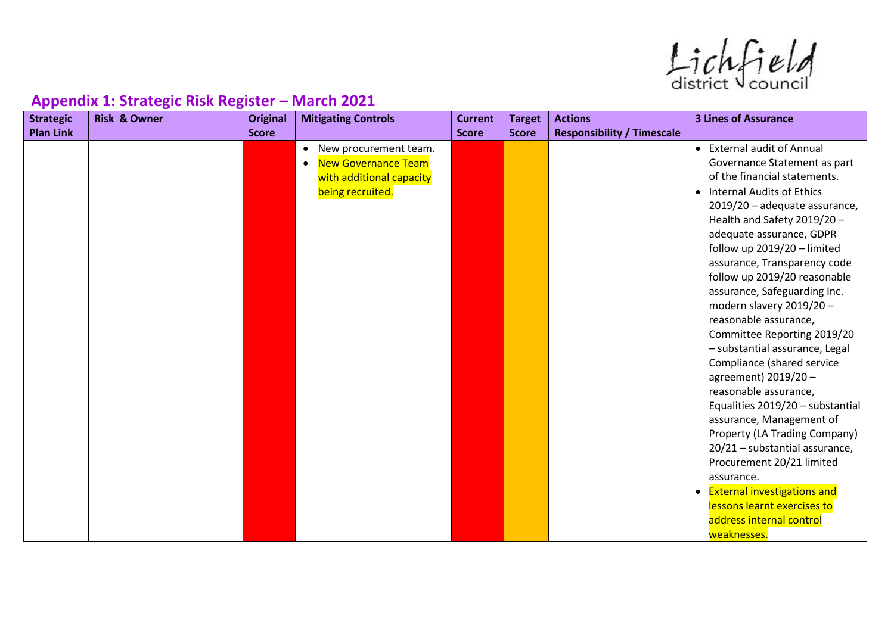Lichfield

| <b>Plan Link</b><br><b>Score</b><br><b>Responsibility / Timescale</b><br><b>Score</b><br><b>Score</b><br>• External audit of Annual<br>New procurement team.<br>$\bullet$<br><b>New Governance Team</b><br>of the financial statements.<br>with additional capacity<br><b>Internal Audits of Ethics</b><br>being recruited.<br>$\bullet$<br>Health and Safety 2019/20 -<br>adequate assurance, GDPR<br>follow up 2019/20 - limited<br>assurance, Safeguarding Inc.<br>modern slavery 2019/20 -<br>reasonable assurance,<br>Compliance (shared service<br>agreement) 2019/20-<br>reasonable assurance,<br>assurance, Management of<br>Procurement 20/21 limited<br>assurance.<br>• External investigations and<br>lessons learnt exercises to<br>address internal control | <b>Strategic</b> | <b>Risk &amp; Owner</b> | <b>Original</b> | <b>Mitigating Controls</b> | <b>Current</b> | <b>Target</b> | <b>Actions</b> | <b>3 Lines of Assurance</b>                                                                                                                                                                                                                                                                           |
|--------------------------------------------------------------------------------------------------------------------------------------------------------------------------------------------------------------------------------------------------------------------------------------------------------------------------------------------------------------------------------------------------------------------------------------------------------------------------------------------------------------------------------------------------------------------------------------------------------------------------------------------------------------------------------------------------------------------------------------------------------------------------|------------------|-------------------------|-----------------|----------------------------|----------------|---------------|----------------|-------------------------------------------------------------------------------------------------------------------------------------------------------------------------------------------------------------------------------------------------------------------------------------------------------|
|                                                                                                                                                                                                                                                                                                                                                                                                                                                                                                                                                                                                                                                                                                                                                                          |                  |                         |                 |                            |                |               |                |                                                                                                                                                                                                                                                                                                       |
|                                                                                                                                                                                                                                                                                                                                                                                                                                                                                                                                                                                                                                                                                                                                                                          |                  |                         |                 |                            |                |               |                | Governance Statement as part<br>2019/20 - adequate assurance,<br>assurance, Transparency code<br>follow up 2019/20 reasonable<br>Committee Reporting 2019/20<br>- substantial assurance, Legal<br>Equalities 2019/20 - substantial<br>Property (LA Trading Company)<br>20/21 - substantial assurance, |
|                                                                                                                                                                                                                                                                                                                                                                                                                                                                                                                                                                                                                                                                                                                                                                          |                  |                         |                 |                            |                |               |                | weaknesses.                                                                                                                                                                                                                                                                                           |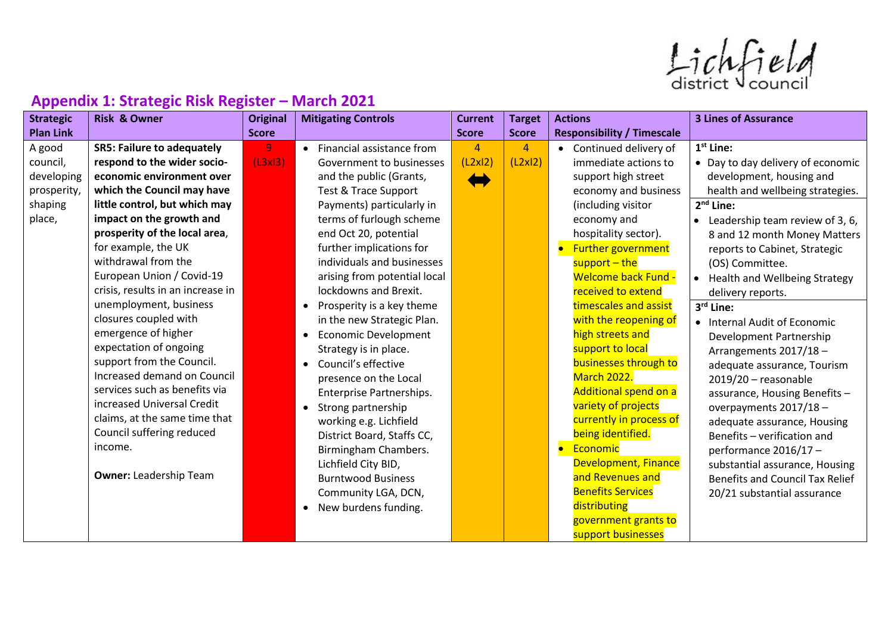Lichfield

| . .<br><b>Strategic</b> | <b>Risk &amp; Owner</b>           | <b>Original</b> | <b>Mitigating Controls</b>      | <b>Current</b> | <b>Target</b>  | <b>Actions</b>                    | <b>3 Lines of Assurance</b>            |
|-------------------------|-----------------------------------|-----------------|---------------------------------|----------------|----------------|-----------------------------------|----------------------------------------|
| <b>Plan Link</b>        |                                   | <b>Score</b>    |                                 | <b>Score</b>   | <b>Score</b>   | <b>Responsibility / Timescale</b> |                                        |
| A good                  | <b>SR5: Failure to adequately</b> | 9               | • Financial assistance from     | 4              | $\overline{4}$ | Continued delivery of             | 1 <sup>st</sup> Line:                  |
| council,                | respond to the wider socio-       | (L3x13)         | Government to businesses        | (L2x12)        | (L2x12)        | immediate actions to              | • Day to day delivery of economic      |
| developing              | economic environment over         |                 | and the public (Grants,         |                |                | support high street               | development, housing and               |
| prosperity,             | which the Council may have        |                 | <b>Test &amp; Trace Support</b> |                |                | economy and business              | health and wellbeing strategies.       |
| shaping                 | little control, but which may     |                 | Payments) particularly in       |                |                | (including visitor                | $2nd$ Line:                            |
| place,                  | impact on the growth and          |                 | terms of furlough scheme        |                |                | economy and                       | Leadership team review of 3, 6,        |
|                         | prosperity of the local area,     |                 | end Oct 20, potential           |                |                | hospitality sector).              | 8 and 12 month Money Matters           |
|                         | for example, the UK               |                 | further implications for        |                |                | Further government                | reports to Cabinet, Strategic          |
|                         | withdrawal from the               |                 | individuals and businesses      |                |                | support - the                     | (OS) Committee.                        |
|                         | European Union / Covid-19         |                 | arising from potential local    |                |                | <b>Welcome back Fund -</b>        | <b>Health and Wellbeing Strategy</b>   |
|                         | crisis, results in an increase in |                 | lockdowns and Brexit.           |                |                | received to extend                | delivery reports.                      |
|                         | unemployment, business            |                 | Prosperity is a key theme       |                |                | timescales and assist             | 3rd Line:                              |
|                         | closures coupled with             |                 | in the new Strategic Plan.      |                |                | with the reopening of             | • Internal Audit of Economic           |
|                         | emergence of higher               |                 | <b>Economic Development</b>     |                |                | high streets and                  | Development Partnership                |
|                         | expectation of ongoing            |                 | Strategy is in place.           |                |                | support to local                  | Arrangements 2017/18 -                 |
|                         | support from the Council.         |                 | Council's effective             |                |                | businesses through to             | adequate assurance, Tourism            |
|                         | Increased demand on Council       |                 | presence on the Local           |                |                | <b>March 2022.</b>                | $2019/20$ - reasonable                 |
|                         | services such as benefits via     |                 | Enterprise Partnerships.        |                |                | Additional spend on a             | assurance, Housing Benefits-           |
|                         | increased Universal Credit        |                 | Strong partnership              |                |                | variety of projects               | overpayments 2017/18 -                 |
|                         | claims, at the same time that     |                 | working e.g. Lichfield          |                |                | currently in process of           | adequate assurance, Housing            |
|                         | Council suffering reduced         |                 | District Board, Staffs CC,      |                |                | being identified.                 | Benefits - verification and            |
|                         | income.                           |                 | Birmingham Chambers.            |                |                | Economic<br>$\bullet$             | performance 2016/17 -                  |
|                         |                                   |                 | Lichfield City BID,             |                |                | <b>Development, Finance</b>       | substantial assurance, Housing         |
|                         | <b>Owner: Leadership Team</b>     |                 | <b>Burntwood Business</b>       |                |                | and Revenues and                  | <b>Benefits and Council Tax Relief</b> |
|                         |                                   |                 | Community LGA, DCN,             |                |                | <b>Benefits Services</b>          | 20/21 substantial assurance            |
|                         |                                   |                 | New burdens funding.            |                |                | distributing                      |                                        |
|                         |                                   |                 |                                 |                |                | government grants to              |                                        |
|                         |                                   |                 |                                 |                |                | support businesses                |                                        |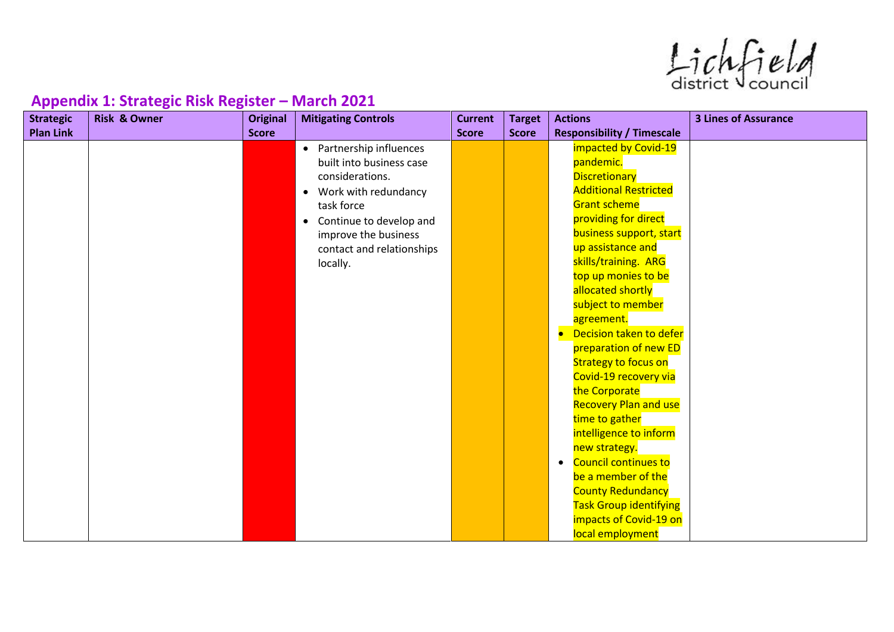$ListV$ 

| <b>Strategic</b> | <b>Risk &amp; Owner</b> | <b>Original</b> | <b>Mitigating Controls</b>           | <b>Current</b> | <b>Target</b> | <b>Actions</b>                           | <b>3 Lines of Assurance</b> |
|------------------|-------------------------|-----------------|--------------------------------------|----------------|---------------|------------------------------------------|-----------------------------|
| <b>Plan Link</b> |                         | <b>Score</b>    |                                      | <b>Score</b>   | <b>Score</b>  | <b>Responsibility / Timescale</b>        |                             |
|                  |                         |                 | Partnership influences<br>$\bullet$  |                |               | impacted by Covid-19                     |                             |
|                  |                         |                 | built into business case             |                |               | pandemic.                                |                             |
|                  |                         |                 | considerations.                      |                |               | <b>Discretionary</b>                     |                             |
|                  |                         |                 | Work with redundancy<br>$\bullet$    |                |               | <b>Additional Restricted</b>             |                             |
|                  |                         |                 | task force                           |                |               | <b>Grant scheme</b>                      |                             |
|                  |                         |                 | Continue to develop and<br>$\bullet$ |                |               | providing for direct                     |                             |
|                  |                         |                 | improve the business                 |                |               | business support, start                  |                             |
|                  |                         |                 | contact and relationships            |                |               | up assistance and                        |                             |
|                  |                         |                 | locally.                             |                |               | skills/training. ARG                     |                             |
|                  |                         |                 |                                      |                |               | top up monies to be                      |                             |
|                  |                         |                 |                                      |                |               | allocated shortly                        |                             |
|                  |                         |                 |                                      |                |               | subject to member                        |                             |
|                  |                         |                 |                                      |                |               | agreement.                               |                             |
|                  |                         |                 |                                      |                |               | Decision taken to defer<br>$\bullet$     |                             |
|                  |                         |                 |                                      |                |               | preparation of new ED                    |                             |
|                  |                         |                 |                                      |                |               | <b>Strategy to focus on</b>              |                             |
|                  |                         |                 |                                      |                |               | Covid-19 recovery via                    |                             |
|                  |                         |                 |                                      |                |               | the Corporate                            |                             |
|                  |                         |                 |                                      |                |               | <b>Recovery Plan and use</b>             |                             |
|                  |                         |                 |                                      |                |               | time to gather                           |                             |
|                  |                         |                 |                                      |                |               | intelligence to inform                   |                             |
|                  |                         |                 |                                      |                |               | new strategy.                            |                             |
|                  |                         |                 |                                      |                |               | <b>Council continues to</b><br>$\bullet$ |                             |
|                  |                         |                 |                                      |                |               | be a member of the                       |                             |
|                  |                         |                 |                                      |                |               | <b>County Redundancy</b>                 |                             |
|                  |                         |                 |                                      |                |               | <b>Task Group identifying</b>            |                             |
|                  |                         |                 |                                      |                |               | impacts of Covid-19 on                   |                             |
|                  |                         |                 |                                      |                |               | local employment                         |                             |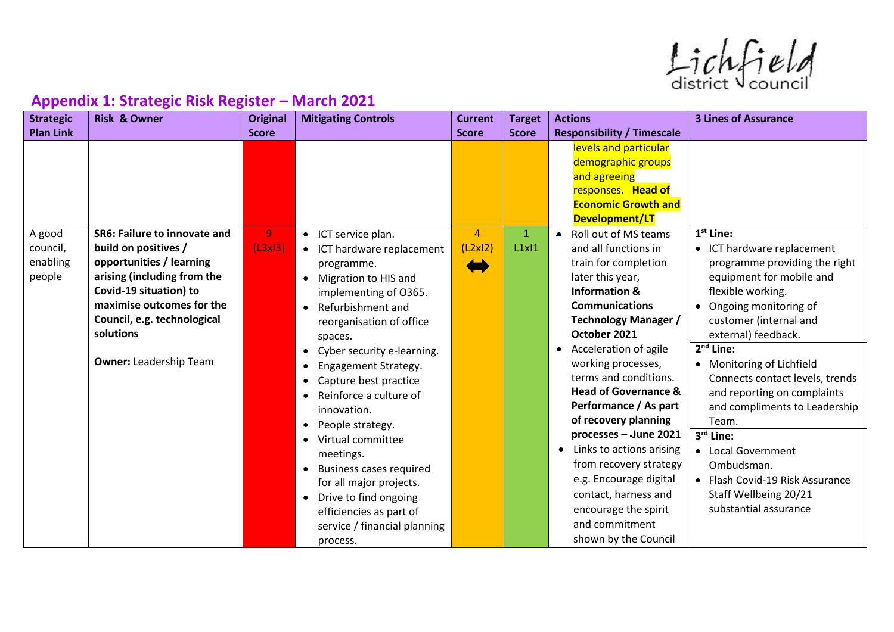$ListV$ 

| <b>Strategic</b> | <b>Risk &amp; Owner</b>       | <b>Original</b> | <b>Mitigating Controls</b>        | <b>Current</b> | <b>Target</b> | <b>Actions</b>                        | <b>3 Lines of Assurance</b>     |
|------------------|-------------------------------|-----------------|-----------------------------------|----------------|---------------|---------------------------------------|---------------------------------|
| <b>Plan Link</b> |                               | <b>Score</b>    |                                   | <b>Score</b>   | <b>Score</b>  | <b>Responsibility / Timescale</b>     |                                 |
|                  |                               |                 |                                   |                |               | levels and particular                 |                                 |
|                  |                               |                 |                                   |                |               | demographic groups                    |                                 |
|                  |                               |                 |                                   |                |               | and agreeing                          |                                 |
|                  |                               |                 |                                   |                |               | responses. Head of                    |                                 |
|                  |                               |                 |                                   |                |               | <b>Economic Growth and</b>            |                                 |
|                  | SR6: Failure to innovate and  |                 |                                   | $\overline{4}$ |               | Development/LT                        | $1st$ Line:                     |
| A good           |                               | 9 <sub>1</sub>  | • ICT service plan.               |                | $\mathbf{1}$  | Roll out of MS teams<br>$\bullet$     |                                 |
| council,         | build on positives /          | (L3x13)         | • ICT hardware replacement        | (L2x12)        | L1x11         | and all functions in                  | • ICT hardware replacement      |
| enabling         | opportunities / learning      |                 | programme.                        |                |               | train for completion                  | programme providing the right   |
| people           | arising (including from the   |                 | Migration to HIS and<br>$\bullet$ |                |               | later this year,                      | equipment for mobile and        |
|                  | Covid-19 situation) to        |                 | implementing of O365.             |                |               | <b>Information &amp;</b>              | flexible working.               |
|                  | maximise outcomes for the     |                 | Refurbishment and<br>$\bullet$    |                |               | <b>Communications</b>                 | Ongoing monitoring of           |
|                  | Council, e.g. technological   |                 | reorganisation of office          |                |               | <b>Technology Manager /</b>           | customer (internal and          |
|                  | solutions                     |                 | spaces.                           |                |               | October 2021                          | external) feedback.             |
|                  |                               |                 | Cyber security e-learning.        |                |               | Acceleration of agile                 | $2nd$ Line:                     |
|                  | <b>Owner: Leadership Team</b> |                 | Engagement Strategy.              |                |               | working processes,                    | • Monitoring of Lichfield       |
|                  |                               |                 | Capture best practice             |                |               | terms and conditions.                 | Connects contact levels, trends |
|                  |                               |                 | Reinforce a culture of            |                |               | <b>Head of Governance &amp;</b>       | and reporting on complaints     |
|                  |                               |                 | innovation.                       |                |               | Performance / As part                 | and compliments to Leadership   |
|                  |                               |                 | People strategy.                  |                |               | of recovery planning                  | Team.                           |
|                  |                               |                 | Virtual committee                 |                |               | processes - June 2021                 | 3rd Line:                       |
|                  |                               |                 | meetings.                         |                |               | Links to actions arising<br>$\bullet$ | • Local Government              |
|                  |                               |                 | <b>Business cases required</b>    |                |               | from recovery strategy                | Ombudsman.                      |
|                  |                               |                 | for all major projects.           |                |               | e.g. Encourage digital                | • Flash Covid-19 Risk Assurance |
|                  |                               |                 | • Drive to find ongoing           |                |               | contact, harness and                  | Staff Wellbeing 20/21           |
|                  |                               |                 | efficiencies as part of           |                |               | encourage the spirit                  | substantial assurance           |
|                  |                               |                 | service / financial planning      |                |               | and commitment                        |                                 |
|                  |                               |                 |                                   |                |               | shown by the Council                  |                                 |
|                  |                               |                 | process.                          |                |               |                                       |                                 |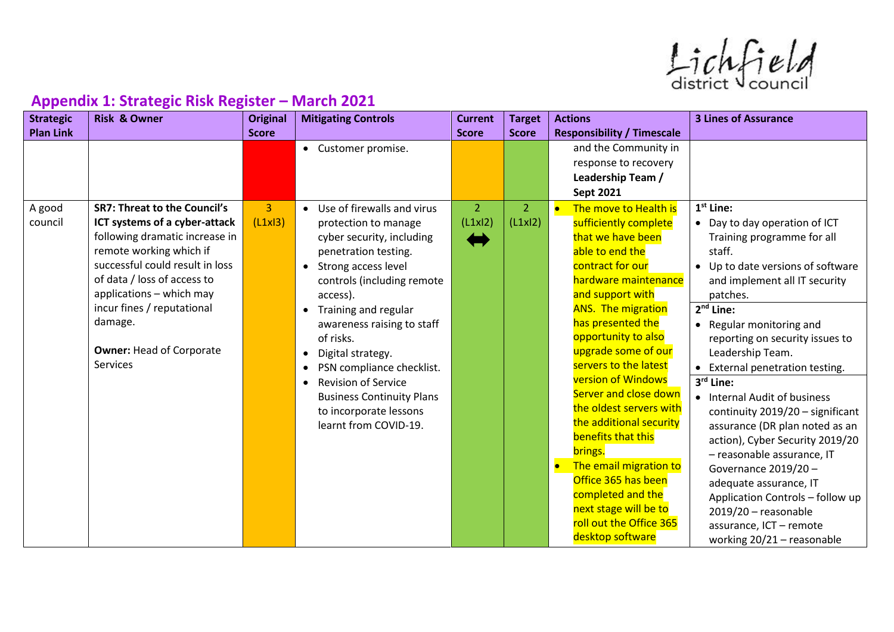$ListV$ 

| <b>Strategic</b> | <b>Risk &amp; Owner</b>             | <b>Original</b> | <b>Mitigating Controls</b>              | <b>Current</b> | <b>Target</b>  | <b>Actions</b>                    | <b>3 Lines of Assurance</b>         |
|------------------|-------------------------------------|-----------------|-----------------------------------------|----------------|----------------|-----------------------------------|-------------------------------------|
| <b>Plan Link</b> |                                     | <b>Score</b>    |                                         | <b>Score</b>   | <b>Score</b>   | <b>Responsibility / Timescale</b> |                                     |
|                  |                                     |                 | • Customer promise.                     |                |                | and the Community in              |                                     |
|                  |                                     |                 |                                         |                |                | response to recovery              |                                     |
|                  |                                     |                 |                                         |                |                | Leadership Team /                 |                                     |
|                  |                                     |                 |                                         |                |                | <b>Sept 2021</b>                  |                                     |
| A good           | <b>SR7: Threat to the Council's</b> | $\overline{3}$  | • Use of firewalls and virus            | 2 <sup>1</sup> | $\overline{2}$ | The move to Health is             | $1st$ Line:                         |
| council          | ICT systems of a cyber-attack       | (L1x 3)         | protection to manage                    | (L1x12)        | (L1x12)        | sufficiently complete             | • Day to day operation of ICT       |
|                  | following dramatic increase in      |                 | cyber security, including               | $\leftarrow$   |                | that we have been                 | Training programme for all          |
|                  | remote working which if             |                 | penetration testing.                    |                |                | able to end the                   | staff.                              |
|                  | successful could result in loss     |                 | Strong access level<br>$\bullet$        |                |                | contract for our                  | Up to date versions of software     |
|                  | of data / loss of access to         |                 | controls (including remote              |                |                | hardware maintenance              | and implement all IT security       |
|                  | applications - which may            |                 | access).                                |                |                | and support with                  | patches.                            |
|                  | incur fines / reputational          |                 | • Training and regular                  |                |                | <b>ANS.</b> The migration         | $2nd$ Line:                         |
|                  | damage.                             |                 | awareness raising to staff              |                |                | has presented the                 | Regular monitoring and<br>$\bullet$ |
|                  |                                     |                 | of risks.                               |                |                | opportunity to also               | reporting on security issues to     |
|                  | <b>Owner: Head of Corporate</b>     |                 | Digital strategy.<br>$\bullet$          |                |                | upgrade some of our               | Leadership Team.                    |
|                  | Services                            |                 | PSN compliance checklist.               |                |                | servers to the latest             | External penetration testing.       |
|                  |                                     |                 | <b>Revision of Service</b><br>$\bullet$ |                |                | <b>version of Windows</b>         | 3rd Line:                           |
|                  |                                     |                 | <b>Business Continuity Plans</b>        |                |                | Server and close down             | • Internal Audit of business        |
|                  |                                     |                 | to incorporate lessons                  |                |                | the oldest servers with           | continuity 2019/20 - significant    |
|                  |                                     |                 | learnt from COVID-19.                   |                |                | the additional security           | assurance (DR plan noted as an      |
|                  |                                     |                 |                                         |                |                | benefits that this                | action), Cyber Security 2019/20     |
|                  |                                     |                 |                                         |                |                | brings.                           | - reasonable assurance, IT          |
|                  |                                     |                 |                                         |                |                | The email migration to            | Governance 2019/20-                 |
|                  |                                     |                 |                                         |                |                | Office 365 has been               | adequate assurance, IT              |
|                  |                                     |                 |                                         |                |                | completed and the                 | Application Controls - follow up    |
|                  |                                     |                 |                                         |                |                | next stage will be to             | $2019/20$ - reasonable              |
|                  |                                     |                 |                                         |                |                | roll out the Office 365           | assurance, ICT - remote             |
|                  |                                     |                 |                                         |                |                | desktop software                  | working 20/21 - reasonable          |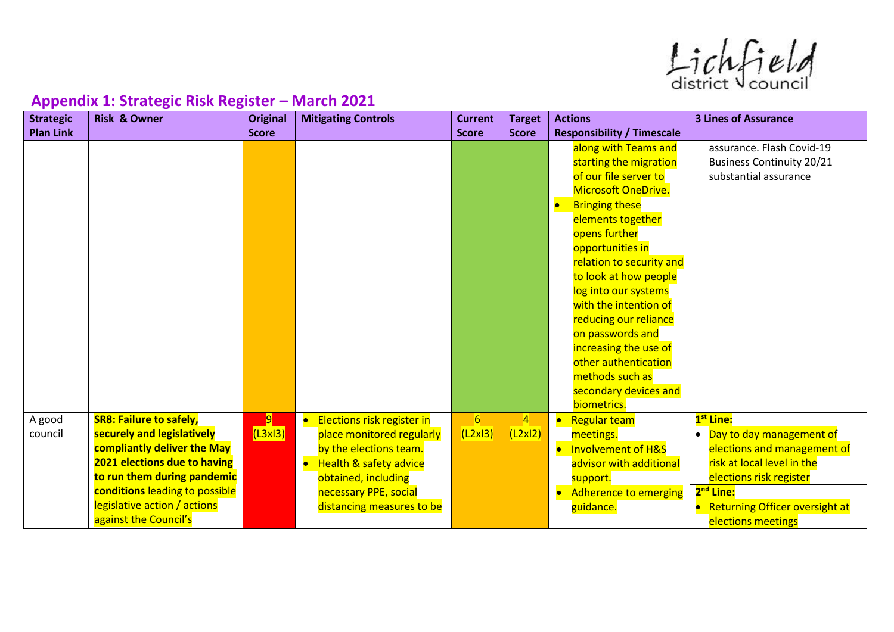$ListV$ 

| <b>Strategic</b>  | <b>Risk &amp; Owner</b>                                                                                                                                                                                                                               | <b>Original</b> | <b>Mitigating Controls</b>                                                                                                                                                                          | <b>Current</b> | <b>Target</b>             | <b>Actions</b>                                                                                                                                                                                                                                                                                                                                                                                                                                          | <b>3 Lines of Assurance</b>                                                                                                                                                                                                         |
|-------------------|-------------------------------------------------------------------------------------------------------------------------------------------------------------------------------------------------------------------------------------------------------|-----------------|-----------------------------------------------------------------------------------------------------------------------------------------------------------------------------------------------------|----------------|---------------------------|---------------------------------------------------------------------------------------------------------------------------------------------------------------------------------------------------------------------------------------------------------------------------------------------------------------------------------------------------------------------------------------------------------------------------------------------------------|-------------------------------------------------------------------------------------------------------------------------------------------------------------------------------------------------------------------------------------|
| <b>Plan Link</b>  |                                                                                                                                                                                                                                                       | <b>Score</b>    |                                                                                                                                                                                                     | <b>Score</b>   | <b>Score</b>              | <b>Responsibility / Timescale</b>                                                                                                                                                                                                                                                                                                                                                                                                                       |                                                                                                                                                                                                                                     |
|                   |                                                                                                                                                                                                                                                       |                 |                                                                                                                                                                                                     |                |                           | along with Teams and<br>starting the migration<br>of our file server to<br><b>Microsoft OneDrive.</b><br><b>Bringing these</b><br>elements together<br>opens further<br>opportunities in<br>relation to security and<br>to look at how people<br>log into our systems<br>with the intention of<br>reducing our reliance<br>on passwords and<br>increasing the use of<br>other authentication<br>methods such as<br>secondary devices and<br>biometrics. | assurance. Flash Covid-19<br><b>Business Continuity 20/21</b><br>substantial assurance                                                                                                                                              |
| A good<br>council | <b>SR8: Failure to safely,</b><br>securely and legislatively<br>compliantly deliver the May<br>2021 elections due to having<br>to run them during pandemic<br>conditions leading to possible<br>legislative action / actions<br>against the Council's | 9 <br>(L3x13)   | Elections risk register in<br>place monitored regularly<br>by the elections team.<br><b>Health &amp; safety advice</b><br>obtained, including<br>necessary PPE, social<br>distancing measures to be | 6<br>(L2x13)   | $\overline{4}$<br>(L2x12) | <b>Regular team</b><br>$\bullet$<br>meetings.<br><b>Involvement of H&amp;S</b><br>advisor with additional<br>support.<br><b>Adherence to emerging</b><br>guidance.                                                                                                                                                                                                                                                                                      | 1 <sup>st</sup> Line:<br>• Day to day management of<br>elections and management of<br>risk at local level in the<br>elections risk register<br>2 <sup>nd</sup> Line:<br><b>Returning Officer oversight at</b><br>elections meetings |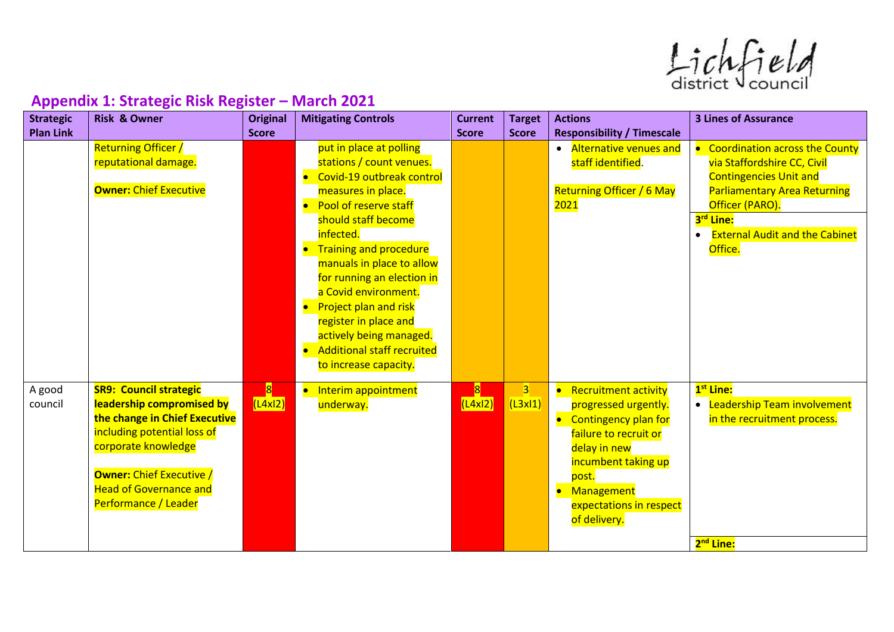$ListV$ 

| <b>Strategic</b>  | <b>Risk &amp; Owner</b>                                                                                                                                                                                                                       | <b>Original</b>            | <b>Mitigating Controls</b>                                                                                                                                                                                                                                                                                           | <b>Current</b>             | <b>Target</b>             | <b>Actions</b>                                                                                                                                                                                                                    | <b>3 Lines of Assurance</b>                                                                                                                                     |
|-------------------|-----------------------------------------------------------------------------------------------------------------------------------------------------------------------------------------------------------------------------------------------|----------------------------|----------------------------------------------------------------------------------------------------------------------------------------------------------------------------------------------------------------------------------------------------------------------------------------------------------------------|----------------------------|---------------------------|-----------------------------------------------------------------------------------------------------------------------------------------------------------------------------------------------------------------------------------|-----------------------------------------------------------------------------------------------------------------------------------------------------------------|
| <b>Plan Link</b>  |                                                                                                                                                                                                                                               | <b>Score</b>               |                                                                                                                                                                                                                                                                                                                      | <b>Score</b>               | <b>Score</b>              | <b>Responsibility / Timescale</b>                                                                                                                                                                                                 |                                                                                                                                                                 |
|                   | <b>Returning Officer /</b><br>reputational damage.<br><b>Owner: Chief Executive</b>                                                                                                                                                           |                            | put in place at polling<br>stations / count venues.<br>Covid-19 outbreak control<br>measures in place.<br>Pool of reserve staff<br>$\bullet$                                                                                                                                                                         |                            |                           | <b>Alternative venues and</b><br>$\bullet$<br>staff identified.<br><b>Returning Officer / 6 May</b><br><mark>2021</mark>                                                                                                          | <b>Coordination across the County</b><br>via Staffordshire CC, Civil<br><b>Contingencies Unit and</b><br><b>Parliamentary Area Returning</b><br>Officer (PARO). |
|                   |                                                                                                                                                                                                                                               |                            | should staff become<br>infected.<br>• Training and procedure<br>manuals in place to allow<br>for running an election in<br>a Covid environment.<br>Project plan and risk<br>$\bullet$<br>register in place and<br>actively being managed.<br><b>Additional staff recruited</b><br>$\bullet$<br>to increase capacity. |                            |                           |                                                                                                                                                                                                                                   | 3 <sup>rd</sup> Line:<br><b>External Audit and the Cabinet</b><br>Office.                                                                                       |
| A good<br>council | <b>SR9: Council strategic</b><br>leadership compromised by<br>the change in Chief Executive<br>including potential loss of<br>corporate knowledge<br><b>Owner: Chief Executive /</b><br><b>Head of Governance and</b><br>Performance / Leader | $\vert 8 \vert$<br>(L4x12) | Interim appointment<br>$\bullet$<br>underway.                                                                                                                                                                                                                                                                        | $\vert 8 \vert$<br>(L4x12) | $\overline{3}$<br>(L3x11) | <b>Recruitment activity</b><br>$\bullet$<br>progressed urgently.<br><b>Contingency plan for</b><br>failure to recruit or<br>delay in new<br>incumbent taking up<br>post.<br>Management<br>expectations in respect<br>of delivery. | 1 <sup>st</sup> Line:<br>• Leadership Team involvement<br>in the recruitment process.<br>2 <sup>nd</sup> Line:                                                  |